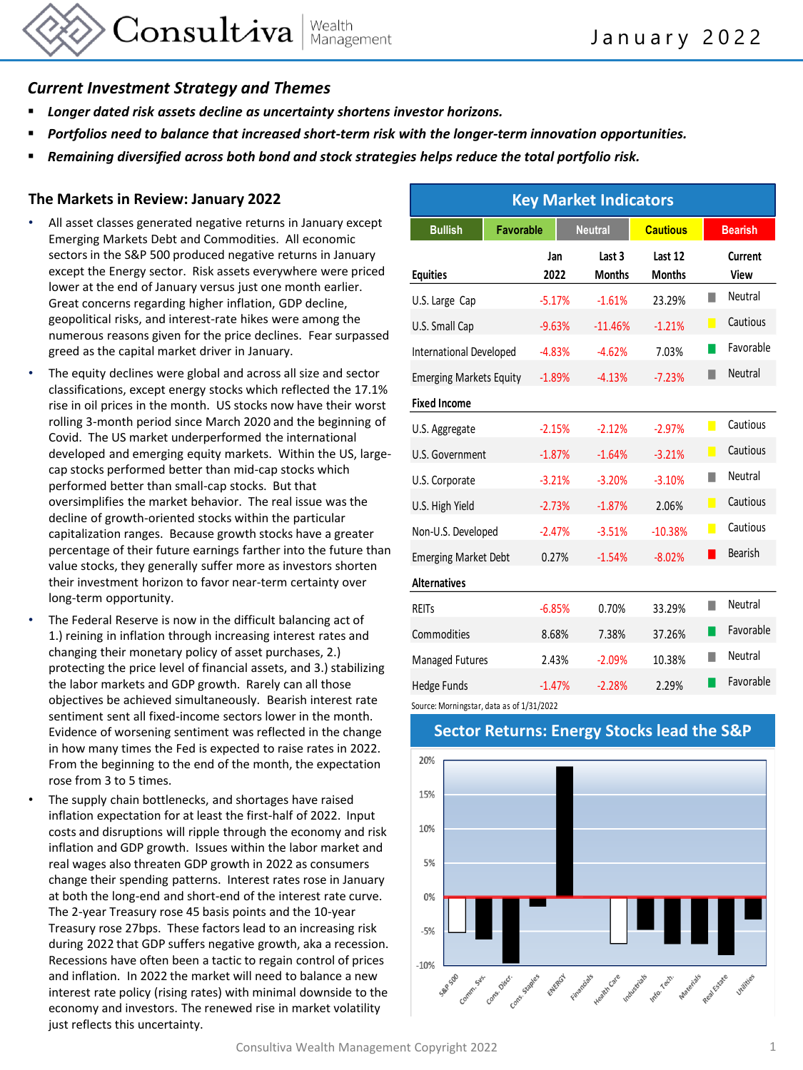

## *Current Investment Strategy and Themes*

- *Longer dated risk assets decline as uncertainty shortens investor horizons.*
- *Portfolios need to balance that increased short-term risk with the longer-term innovation opportunities.*
- *Remaining diversified across both bond and stock strategies helps reduce the total portfolio risk.*

## **The Markets in Review: January 2022**

- All asset classes generated negative returns in January except Emerging Markets Debt and Commodities. All economic sectors in the S&P 500 produced negative returns in January except the Energy sector. Risk assets everywhere were priced lower at the end of January versus just one month earlier. Great concerns regarding higher inflation, GDP decline, geopolitical risks, and interest-rate hikes were among the numerous reasons given for the price declines. Fear surpassed greed as the capital market driver in January.
- The equity declines were global and across all size and sector classifications, except energy stocks which reflected the 17.1% rise in oil prices in the month. US stocks now have their worst rolling 3-month period since March 2020 and the beginning of Covid. The US market underperformed the international developed and emerging equity markets. Within the US, largecap stocks performed better than mid-cap stocks which performed better than small-cap stocks. But that oversimplifies the market behavior. The real issue was the decline of growth-oriented stocks within the particular capitalization ranges. Because growth stocks have a greater percentage of their future earnings farther into the future than value stocks, they generally suffer more as investors shorten their investment horizon to favor near-term certainty over long-term opportunity.
- The Federal Reserve is now in the difficult balancing act of 1.) reining in inflation through increasing interest rates and changing their monetary policy of asset purchases, 2.) protecting the price level of financial assets, and 3.) stabilizing the labor markets and GDP growth. Rarely can all those objectives be achieved simultaneously. Bearish interest rate sentiment sent all fixed-income sectors lower in the month. Evidence of worsening sentiment was reflected in the change in how many times the Fed is expected to raise rates in 2022. From the beginning to the end of the month, the expectation rose from 3 to 5 times.
- The supply chain bottlenecks, and shortages have raised inflation expectation for at least the first-half of 2022. Input costs and disruptions will ripple through the economy and risk inflation and GDP growth. Issues within the labor market and real wages also threaten GDP growth in 2022 as consumers change their spending patterns. Interest rates rose in January at both the long-end and short-end of the interest rate curve. The 2-year Treasury rose 45 basis points and the 10-year Treasury rose 27bps. These factors lead to an increasing risk during 2022 that GDP suffers negative growth, aka a recession. Recessions have often been a tactic to regain control of prices and inflation. In 2022 the market will need to balance a new interest rate policy (rising rates) with minimal downside to the economy and investors. The renewed rise in market volatility just reflects this uncertainty.

| <b>Key Market Indicators</b>   |           |             |                         |                          |                |                 |
|--------------------------------|-----------|-------------|-------------------------|--------------------------|----------------|-----------------|
| <b>Bullish</b>                 | Favorable |             | <b>Neutral</b>          | <b>Cautious</b>          | <b>Bearish</b> |                 |
| <b>Equities</b>                |           | Jan<br>2022 | Last 3<br><b>Months</b> | Last 12<br><b>Months</b> |                | Current<br>View |
| U.S. Large Cap                 |           | $-5.17%$    | $-1.61%$                | 23.29%                   |                | Neutral         |
| U.S. Small Cap                 |           | $-9.63%$    | $-11.46%$               | $-1.21%$                 | П              | Cautious        |
| International Developed        |           | $-4.83%$    | $-4.62%$                | 7.03%                    |                | Favorable       |
| <b>Emerging Markets Equity</b> |           | $-1.89%$    | $-4.13%$                | $-7.23%$                 |                | Neutral         |
| <b>Fixed Income</b>            |           |             |                         |                          |                |                 |
| U.S. Aggregate                 |           | $-2.15%$    | $-2.12%$                | $-2.97%$                 | П              | Cautious        |
| U.S. Government                |           | $-1.87%$    | $-1.64%$                | $-3.21%$                 | П              | Cautious        |
| U.S. Corporate                 |           | $-3.21%$    | $-3.20%$                | $-3.10%$                 | ٠              | Neutral         |
| U.S. High Yield                |           | $-2.73%$    | $-1.87%$                | 2.06%                    | П              | Cautious        |
| Non-U.S. Developed             |           | $-2.47%$    | $-3.51%$                | $-10.38%$                | $\blacksquare$ | Cautious        |
| <b>Emerging Market Debt</b>    |           | 0.27%       | $-1.54%$                | $-8.02%$                 | ш              | <b>Bearish</b>  |
| <b>Alternatives</b>            |           |             |                         |                          |                |                 |
| <b>REITS</b>                   |           | $-6.85%$    | 0.70%                   | 33.29%                   |                | Neutral         |
| Commodities                    |           | 8.68%       | 7.38%                   | 37.26%                   |                | Favorable       |
| <b>Managed Futures</b>         |           | 2.43%       | $-2.09%$                | 10.38%                   |                | Neutral         |
| <b>Hedge Funds</b>             |           | $-1.47%$    | $-2.28%$                | 2.29%                    |                | Favorable       |

Source: Morningstar, data as of 1/31/2022

## 20% 15% 10% 5%  $0%$  $-5%$  $-10%$ control of the space of the control and the space of the space of the space of the space of the

## **Sector Returns: Energy Stocks lead the S&P**